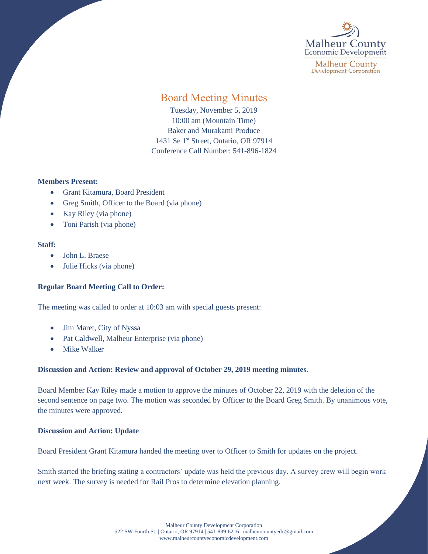

**Malheur County Development Corporation** 

# Board Meeting Minutes

Tuesday, November 5, 2019 10:00 am (Mountain Time) Baker and Murakami Produce 1431 Se 1<sup>st</sup> Street, Ontario, OR 97914 Conference Call Number: 541-896-1824

# **Members Present:**

- Grant Kitamura, Board President
- Greg Smith, Officer to the Board (via phone)
- Kay Riley (via phone)
- Toni Parish (via phone)

# **Staff:**

- John L. Braese
- Julie Hicks (via phone)

# **Regular Board Meeting Call to Order:**

The meeting was called to order at 10:03 am with special guests present:

- Jim Maret, City of Nyssa
- Pat Caldwell, Malheur Enterprise (via phone)
- **Mike Walker**

# **Discussion and Action: Review and approval of October 29, 2019 meeting minutes.**

Board Member Kay Riley made a motion to approve the minutes of October 22, 2019 with the deletion of the second sentence on page two. The motion was seconded by Officer to the Board Greg Smith. By unanimous vote, the minutes were approved.

# **Discussion and Action: Update**

Board President Grant Kitamura handed the meeting over to Officer to Smith for updates on the project.

Smith started the briefing stating a contractors' update was held the previous day. A survey crew will begin work next week. The survey is needed for Rail Pros to determine elevation planning.